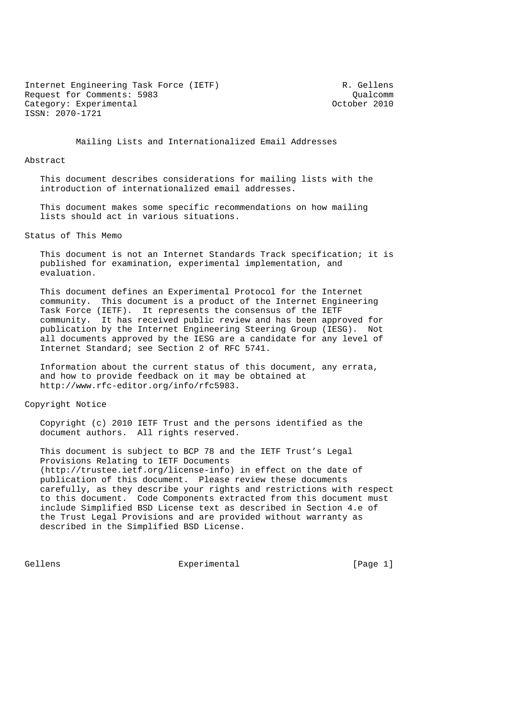Internet Engineering Task Force (IETF) R. Gellens Request for Comments: 5983<br>
Category: Experimental Category: Contract Category: Experimental Category: Category: Experimental Category: Experimental ISSN: 2070-1721

## Mailing Lists and Internationalized Email Addresses

#### Abstract

 This document describes considerations for mailing lists with the introduction of internationalized email addresses.

 This document makes some specific recommendations on how mailing lists should act in various situations.

Status of This Memo

 This document is not an Internet Standards Track specification; it is published for examination, experimental implementation, and evaluation.

 This document defines an Experimental Protocol for the Internet community. This document is a product of the Internet Engineering Task Force (IETF). It represents the consensus of the IETF community. It has received public review and has been approved for publication by the Internet Engineering Steering Group (IESG). Not all documents approved by the IESG are a candidate for any level of Internet Standard; see Section 2 of RFC 5741.

 Information about the current status of this document, any errata, and how to provide feedback on it may be obtained at http://www.rfc-editor.org/info/rfc5983.

#### Copyright Notice

 Copyright (c) 2010 IETF Trust and the persons identified as the document authors. All rights reserved.

 This document is subject to BCP 78 and the IETF Trust's Legal Provisions Relating to IETF Documents (http://trustee.ietf.org/license-info) in effect on the date of publication of this document. Please review these documents carefully, as they describe your rights and restrictions with respect to this document. Code Components extracted from this document must include Simplified BSD License text as described in Section 4.e of the Trust Legal Provisions and are provided without warranty as described in the Simplified BSD License.

Gellens **Experimental** Experimental [Page 1]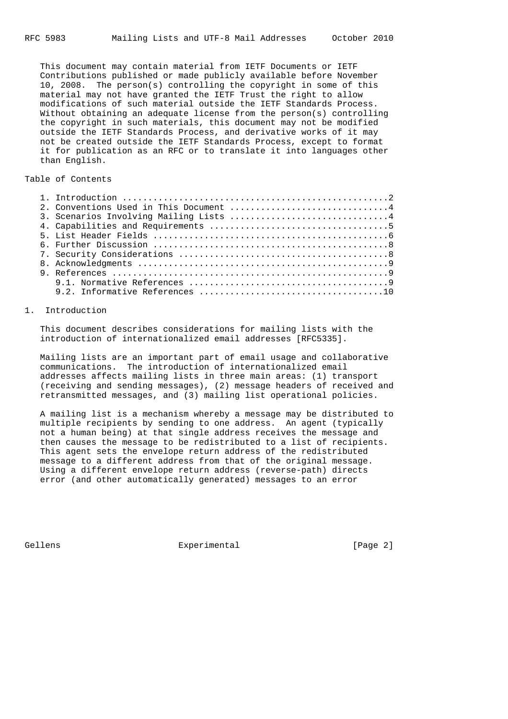This document may contain material from IETF Documents or IETF Contributions published or made publicly available before November 10, 2008. The person(s) controlling the copyright in some of this material may not have granted the IETF Trust the right to allow modifications of such material outside the IETF Standards Process. Without obtaining an adequate license from the person(s) controlling the copyright in such materials, this document may not be modified outside the IETF Standards Process, and derivative works of it may not be created outside the IETF Standards Process, except to format it for publication as an RFC or to translate it into languages other than English.

# Table of Contents

|  | 2. Conventions Used in This Document 4 |
|--|----------------------------------------|
|  |                                        |
|  |                                        |
|  |                                        |
|  |                                        |
|  |                                        |
|  |                                        |
|  |                                        |
|  |                                        |
|  |                                        |
|  |                                        |

# 1. Introduction

 This document describes considerations for mailing lists with the introduction of internationalized email addresses [RFC5335].

 Mailing lists are an important part of email usage and collaborative communications. The introduction of internationalized email addresses affects mailing lists in three main areas: (1) transport (receiving and sending messages), (2) message headers of received and retransmitted messages, and (3) mailing list operational policies.

 A mailing list is a mechanism whereby a message may be distributed to multiple recipients by sending to one address. An agent (typically not a human being) at that single address receives the message and then causes the message to be redistributed to a list of recipients. This agent sets the envelope return address of the redistributed message to a different address from that of the original message. Using a different envelope return address (reverse-path) directs error (and other automatically generated) messages to an error

Gellens **Experimental** Experimental [Page 2]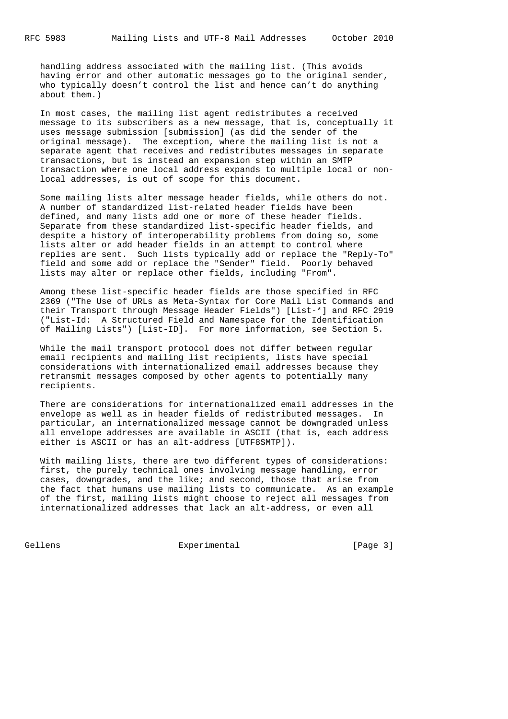handling address associated with the mailing list. (This avoids having error and other automatic messages go to the original sender, who typically doesn't control the list and hence can't do anything about them.)

 In most cases, the mailing list agent redistributes a received message to its subscribers as a new message, that is, conceptually it uses message submission [submission] (as did the sender of the original message). The exception, where the mailing list is not a separate agent that receives and redistributes messages in separate transactions, but is instead an expansion step within an SMTP transaction where one local address expands to multiple local or non local addresses, is out of scope for this document.

 Some mailing lists alter message header fields, while others do not. A number of standardized list-related header fields have been defined, and many lists add one or more of these header fields. Separate from these standardized list-specific header fields, and despite a history of interoperability problems from doing so, some lists alter or add header fields in an attempt to control where replies are sent. Such lists typically add or replace the "Reply-To" field and some add or replace the "Sender" field. Poorly behaved lists may alter or replace other fields, including "From".

 Among these list-specific header fields are those specified in RFC 2369 ("The Use of URLs as Meta-Syntax for Core Mail List Commands and their Transport through Message Header Fields") [List-\*] and RFC 2919 ("List-Id: A Structured Field and Namespace for the Identification of Mailing Lists") [List-ID]. For more information, see Section 5.

 While the mail transport protocol does not differ between regular email recipients and mailing list recipients, lists have special considerations with internationalized email addresses because they retransmit messages composed by other agents to potentially many recipients.

 There are considerations for internationalized email addresses in the envelope as well as in header fields of redistributed messages. In particular, an internationalized message cannot be downgraded unless all envelope addresses are available in ASCII (that is, each address either is ASCII or has an alt-address [UTF8SMTP]).

 With mailing lists, there are two different types of considerations: first, the purely technical ones involving message handling, error cases, downgrades, and the like; and second, those that arise from the fact that humans use mailing lists to communicate. As an example of the first, mailing lists might choose to reject all messages from internationalized addresses that lack an alt-address, or even all

Gellens **Experimental** Experimental [Page 3]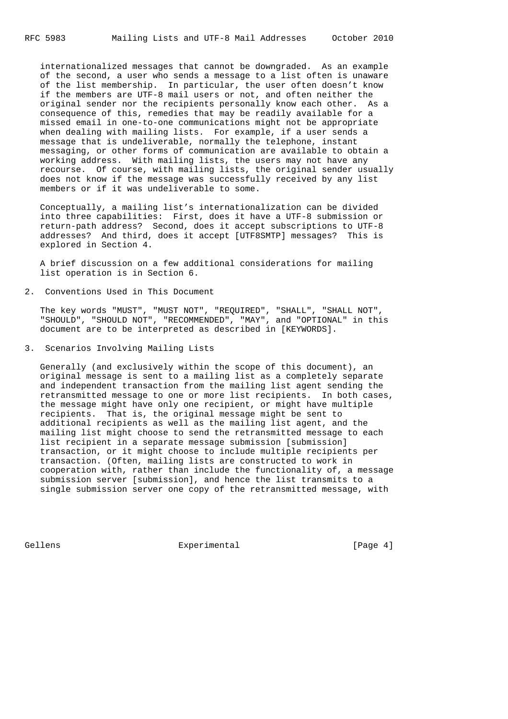internationalized messages that cannot be downgraded. As an example of the second, a user who sends a message to a list often is unaware of the list membership. In particular, the user often doesn't know if the members are UTF-8 mail users or not, and often neither the original sender nor the recipients personally know each other. As a consequence of this, remedies that may be readily available for a missed email in one-to-one communications might not be appropriate when dealing with mailing lists. For example, if a user sends a message that is undeliverable, normally the telephone, instant messaging, or other forms of communication are available to obtain a working address. With mailing lists, the users may not have any recourse. Of course, with mailing lists, the original sender usually does not know if the message was successfully received by any list members or if it was undeliverable to some.

 Conceptually, a mailing list's internationalization can be divided into three capabilities: First, does it have a UTF-8 submission or return-path address? Second, does it accept subscriptions to UTF-8 addresses? And third, does it accept [UTF8SMTP] messages? This is explored in Section 4.

 A brief discussion on a few additional considerations for mailing list operation is in Section 6.

2. Conventions Used in This Document

 The key words "MUST", "MUST NOT", "REQUIRED", "SHALL", "SHALL NOT", "SHOULD", "SHOULD NOT", "RECOMMENDED", "MAY", and "OPTIONAL" in this document are to be interpreted as described in [KEYWORDS].

3. Scenarios Involving Mailing Lists

 Generally (and exclusively within the scope of this document), an original message is sent to a mailing list as a completely separate and independent transaction from the mailing list agent sending the retransmitted message to one or more list recipients. In both cases, the message might have only one recipient, or might have multiple recipients. That is, the original message might be sent to additional recipients as well as the mailing list agent, and the mailing list might choose to send the retransmitted message to each list recipient in a separate message submission [submission] transaction, or it might choose to include multiple recipients per transaction. (Often, mailing lists are constructed to work in cooperation with, rather than include the functionality of, a message submission server [submission], and hence the list transmits to a single submission server one copy of the retransmitted message, with

Gellens **Experimental** Experimental [Page 4]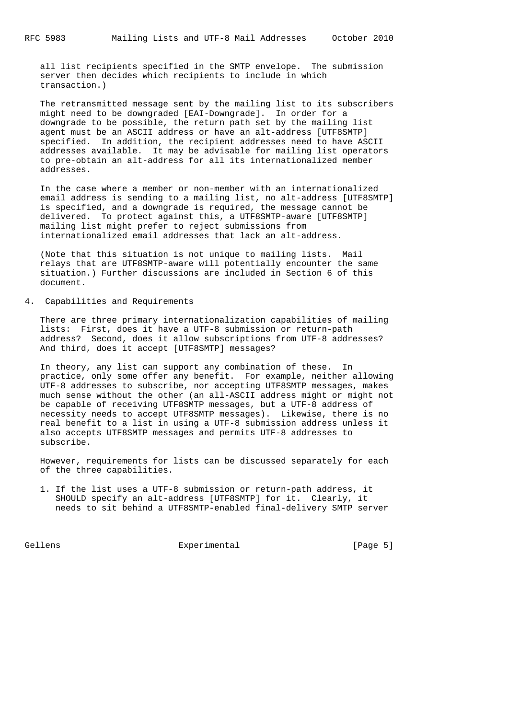all list recipients specified in the SMTP envelope. The submission server then decides which recipients to include in which transaction.)

 The retransmitted message sent by the mailing list to its subscribers might need to be downgraded [EAI-Downgrade]. In order for a downgrade to be possible, the return path set by the mailing list agent must be an ASCII address or have an alt-address [UTF8SMTP] specified. In addition, the recipient addresses need to have ASCII addresses available. It may be advisable for mailing list operators to pre-obtain an alt-address for all its internationalized member addresses.

 In the case where a member or non-member with an internationalized email address is sending to a mailing list, no alt-address [UTF8SMTP] is specified, and a downgrade is required, the message cannot be delivered. To protect against this, a UTF8SMTP-aware [UTF8SMTP] mailing list might prefer to reject submissions from internationalized email addresses that lack an alt-address.

 (Note that this situation is not unique to mailing lists. Mail relays that are UTF8SMTP-aware will potentially encounter the same situation.) Further discussions are included in Section 6 of this document.

4. Capabilities and Requirements

 There are three primary internationalization capabilities of mailing lists: First, does it have a UTF-8 submission or return-path address? Second, does it allow subscriptions from UTF-8 addresses? And third, does it accept [UTF8SMTP] messages?

 In theory, any list can support any combination of these. In practice, only some offer any benefit. For example, neither allowing UTF-8 addresses to subscribe, nor accepting UTF8SMTP messages, makes much sense without the other (an all-ASCII address might or might not be capable of receiving UTF8SMTP messages, but a UTF-8 address of necessity needs to accept UTF8SMTP messages). Likewise, there is no real benefit to a list in using a UTF-8 submission address unless it also accepts UTF8SMTP messages and permits UTF-8 addresses to subscribe.

 However, requirements for lists can be discussed separately for each of the three capabilities.

 1. If the list uses a UTF-8 submission or return-path address, it SHOULD specify an alt-address [UTF8SMTP] for it. Clearly, it needs to sit behind a UTF8SMTP-enabled final-delivery SMTP server

Gellens **Experimental** Experimental [Page 5]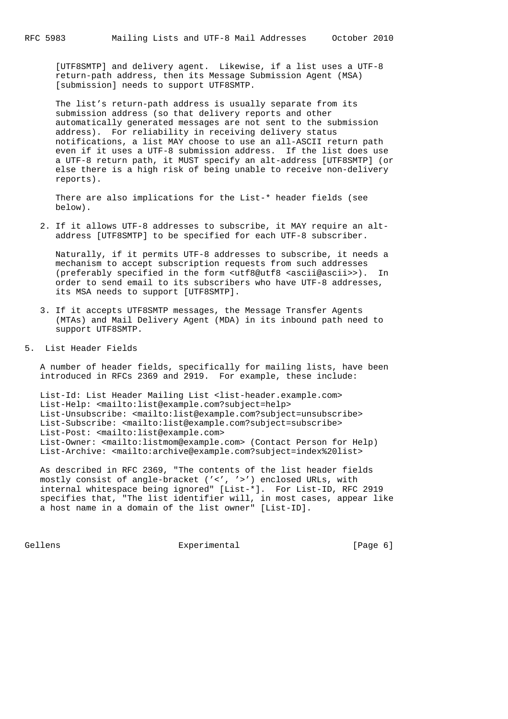[UTF8SMTP] and delivery agent. Likewise, if a list uses a UTF-8 return-path address, then its Message Submission Agent (MSA) [submission] needs to support UTF8SMTP.

 The list's return-path address is usually separate from its submission address (so that delivery reports and other automatically generated messages are not sent to the submission address). For reliability in receiving delivery status notifications, a list MAY choose to use an all-ASCII return path even if it uses a UTF-8 submission address. If the list does use a UTF-8 return path, it MUST specify an alt-address [UTF8SMTP] (or else there is a high risk of being unable to receive non-delivery reports).

 There are also implications for the List-\* header fields (see below).

 2. If it allows UTF-8 addresses to subscribe, it MAY require an alt address [UTF8SMTP] to be specified for each UTF-8 subscriber.

 Naturally, if it permits UTF-8 addresses to subscribe, it needs a mechanism to accept subscription requests from such addresses (preferably specified in the form <utf8@utf8 <ascii@ascii>>). In order to send email to its subscribers who have UTF-8 addresses, its MSA needs to support [UTF8SMTP].

- 3. If it accepts UTF8SMTP messages, the Message Transfer Agents (MTAs) and Mail Delivery Agent (MDA) in its inbound path need to support UTF8SMTP.
- 5. List Header Fields

 A number of header fields, specifically for mailing lists, have been introduced in RFCs 2369 and 2919. For example, these include:

 List-Id: List Header Mailing List <list-header.example.com> List-Help: <mailto:list@example.com?subject=help> List-Unsubscribe: <mailto:list@example.com?subject=unsubscribe> List-Subscribe: <mailto:list@example.com?subject=subscribe> List-Post: <mailto:list@example.com> List-Owner: <mailto:listmom@example.com> (Contact Person for Help) List-Archive: <mailto:archive@example.com?subject=index%20list>

 As described in RFC 2369, "The contents of the list header fields mostly consist of angle-bracket ('<', '>') enclosed URLs, with internal whitespace being ignored" [List-\*]. For List-ID, RFC 2919 specifies that, "The list identifier will, in most cases, appear like a host name in a domain of the list owner" [List-ID].

Gellens **Experimental** Experimental [Page 6]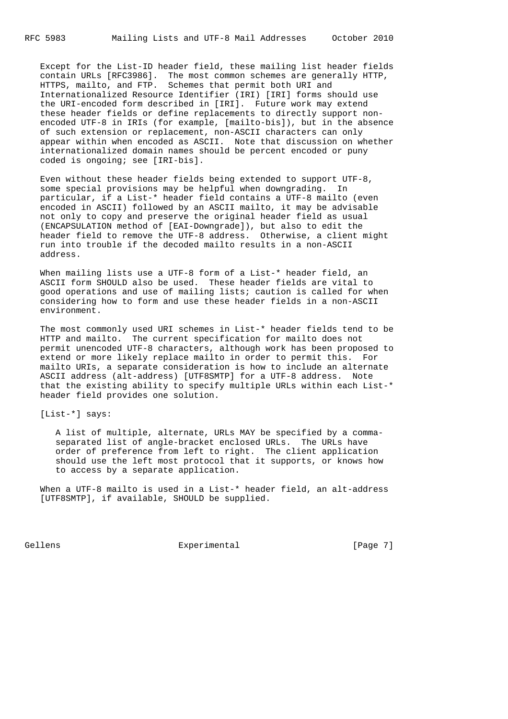Except for the List-ID header field, these mailing list header fields contain URLs [RFC3986]. The most common schemes are generally HTTP, HTTPS, mailto, and FTP. Schemes that permit both URI and Internationalized Resource Identifier (IRI) [IRI] forms should use the URI-encoded form described in [IRI]. Future work may extend these header fields or define replacements to directly support non encoded UTF-8 in IRIs (for example, [mailto-bis]), but in the absence of such extension or replacement, non-ASCII characters can only appear within when encoded as ASCII. Note that discussion on whether internationalized domain names should be percent encoded or puny coded is ongoing; see [IRI-bis].

 Even without these header fields being extended to support UTF-8, some special provisions may be helpful when downgrading. In particular, if a List-\* header field contains a UTF-8 mailto (even encoded in ASCII) followed by an ASCII mailto, it may be advisable not only to copy and preserve the original header field as usual (ENCAPSULATION method of [EAI-Downgrade]), but also to edit the header field to remove the UTF-8 address. Otherwise, a client might run into trouble if the decoded mailto results in a non-ASCII address.

When mailing lists use a UTF-8 form of a List-\* header field, an ASCII form SHOULD also be used. These header fields are vital to good operations and use of mailing lists; caution is called for when considering how to form and use these header fields in a non-ASCII environment.

 The most commonly used URI schemes in List-\* header fields tend to be HTTP and mailto. The current specification for mailto does not permit unencoded UTF-8 characters, although work has been proposed to extend or more likely replace mailto in order to permit this. For mailto URIs, a separate consideration is how to include an alternate ASCII address (alt-address) [UTF8SMTP] for a UTF-8 address. Note that the existing ability to specify multiple URLs within each List-\* header field provides one solution.

[List-\*] says:

 A list of multiple, alternate, URLs MAY be specified by a comma separated list of angle-bracket enclosed URLs. The URLs have order of preference from left to right. The client application should use the left most protocol that it supports, or knows how to access by a separate application.

When a UTF-8 mailto is used in a List-\* header field, an alt-address [UTF8SMTP], if available, SHOULD be supplied.

Gellens **Experimental** Experimental [Page 7]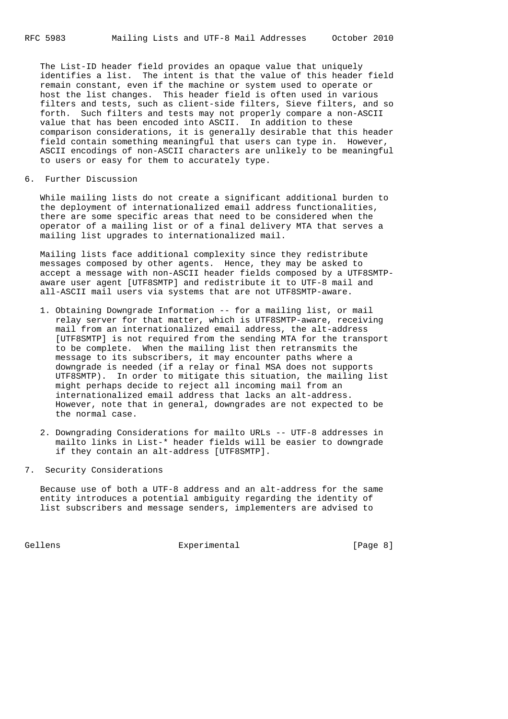The List-ID header field provides an opaque value that uniquely identifies a list. The intent is that the value of this header field remain constant, even if the machine or system used to operate or host the list changes. This header field is often used in various filters and tests, such as client-side filters, Sieve filters, and so forth. Such filters and tests may not properly compare a non-ASCII value that has been encoded into ASCII. In addition to these comparison considerations, it is generally desirable that this header field contain something meaningful that users can type in. However, ASCII encodings of non-ASCII characters are unlikely to be meaningful to users or easy for them to accurately type.

### 6. Further Discussion

 While mailing lists do not create a significant additional burden to the deployment of internationalized email address functionalities, there are some specific areas that need to be considered when the operator of a mailing list or of a final delivery MTA that serves a mailing list upgrades to internationalized mail.

 Mailing lists face additional complexity since they redistribute messages composed by other agents. Hence, they may be asked to accept a message with non-ASCII header fields composed by a UTF8SMTP aware user agent [UTF8SMTP] and redistribute it to UTF-8 mail and all-ASCII mail users via systems that are not UTF8SMTP-aware.

- 1. Obtaining Downgrade Information -- for a mailing list, or mail relay server for that matter, which is UTF8SMTP-aware, receiving mail from an internationalized email address, the alt-address [UTF8SMTP] is not required from the sending MTA for the transport to be complete. When the mailing list then retransmits the message to its subscribers, it may encounter paths where a downgrade is needed (if a relay or final MSA does not supports UTF8SMTP). In order to mitigate this situation, the mailing list might perhaps decide to reject all incoming mail from an internationalized email address that lacks an alt-address. However, note that in general, downgrades are not expected to be the normal case.
- 2. Downgrading Considerations for mailto URLs -- UTF-8 addresses in mailto links in List-\* header fields will be easier to downgrade if they contain an alt-address [UTF8SMTP].
- 7. Security Considerations

 Because use of both a UTF-8 address and an alt-address for the same entity introduces a potential ambiguity regarding the identity of list subscribers and message senders, implementers are advised to

Gellens **Experimental** Experimental [Page 8]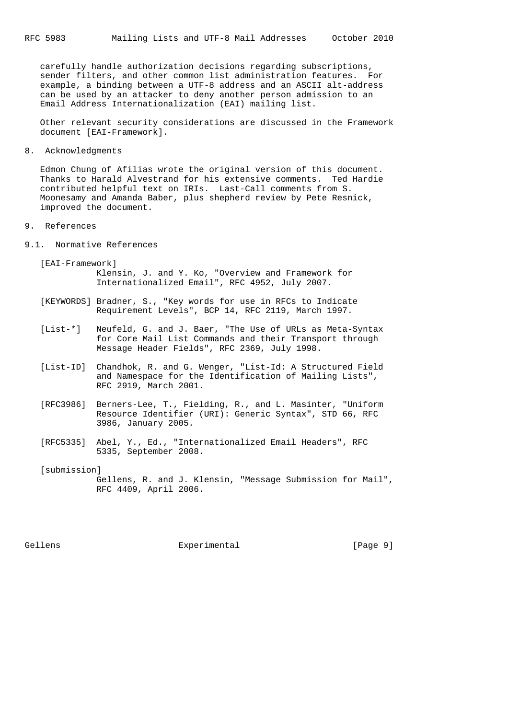carefully handle authorization decisions regarding subscriptions, sender filters, and other common list administration features. For example, a binding between a UTF-8 address and an ASCII alt-address can be used by an attacker to deny another person admission to an Email Address Internationalization (EAI) mailing list.

 Other relevant security considerations are discussed in the Framework document [EAI-Framework].

8. Acknowledgments

 Edmon Chung of Afilias wrote the original version of this document. Thanks to Harald Alvestrand for his extensive comments. Ted Hardie contributed helpful text on IRIs. Last-Call comments from S. Moonesamy and Amanda Baber, plus shepherd review by Pete Resnick, improved the document.

9. References

9.1. Normative References

 [EAI-Framework] Klensin, J. and Y. Ko, "Overview and Framework for Internationalized Email", RFC 4952, July 2007.

- [KEYWORDS] Bradner, S., "Key words for use in RFCs to Indicate Requirement Levels", BCP 14, RFC 2119, March 1997.
- [List-\*] Neufeld, G. and J. Baer, "The Use of URLs as Meta-Syntax for Core Mail List Commands and their Transport through Message Header Fields", RFC 2369, July 1998.
- [List-ID] Chandhok, R. and G. Wenger, "List-Id: A Structured Field and Namespace for the Identification of Mailing Lists", RFC 2919, March 2001.
- [RFC3986] Berners-Lee, T., Fielding, R., and L. Masinter, "Uniform Resource Identifier (URI): Generic Syntax", STD 66, RFC 3986, January 2005.
- [RFC5335] Abel, Y., Ed., "Internationalized Email Headers", RFC 5335, September 2008.

[submission] Gellens, R. and J. Klensin, "Message Submission for Mail", RFC 4409, April 2006.

Gellens **Experimental** Experimental [Page 9]